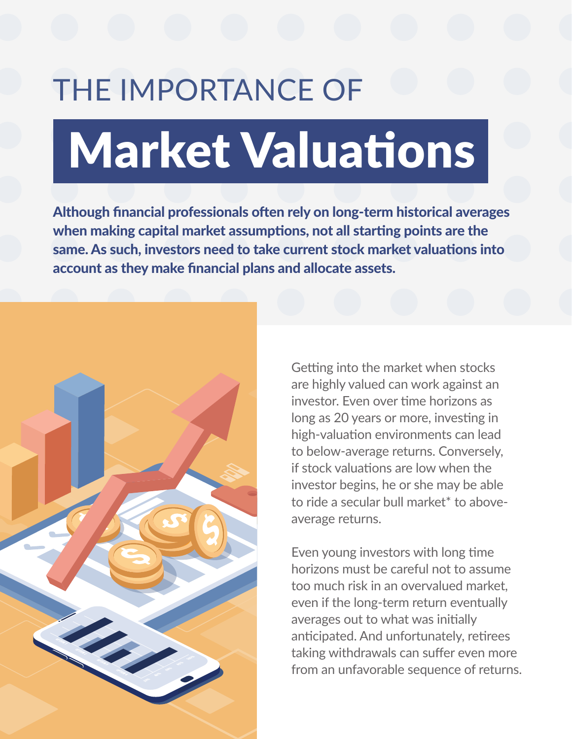## Market Valuations THE IMPORTANCE OF

Although financial professionals often rely on long-term historical averages when making capital market assumptions, not all starting points are the same. As such, investors need to take current stock market valuations into account as they make financial plans and allocate assets.



Getting into the market when stocks are highly valued can work against an investor. Even over time horizons as long as 20 years or more, investing in high-valuation environments can lead to below-average returns. Conversely, if stock valuations are low when the investor begins, he or she may be able to ride a secular bull market\* to aboveaverage returns.

Even young investors with long time horizons must be careful not to assume too much risk in an overvalued market, even if the long-term return eventually averages out to what was initially anticipated. And unfortunately, retirees taking withdrawals can suffer even more from an unfavorable sequence of returns.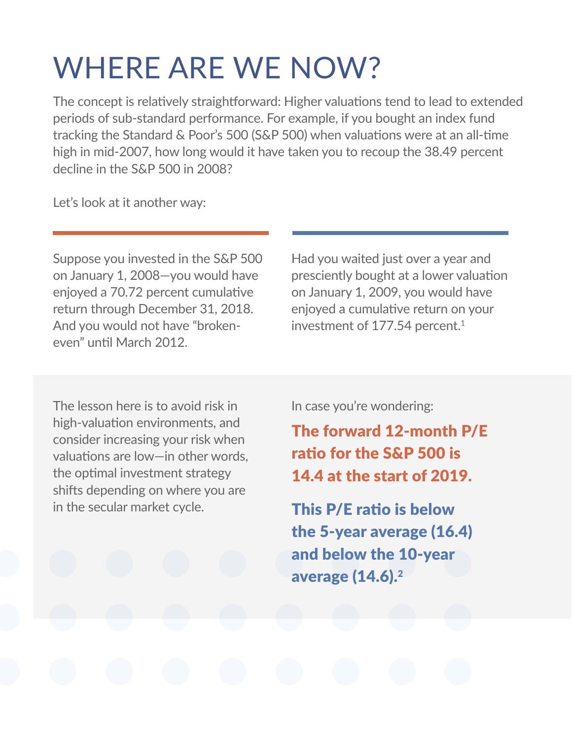## WHERE ARE WE NOW?

The concept is relatively straightforward: Higher valuations tend to lead to extended periods of sub-standard performance. For example, if you bought an index fund tracking the Standard & Poor's 500 (S&P 500) when valuations were at an all-time high in mid-2007, how long would it have taken you to recoup the 38.49 percent decline in the S&P 500 in 2008?

Let's look at it another way:

Suppose you invested in the S&P 500 on January 1, 2008—you would have enjoyed a 70.72 percent cumulative return through December 31, 2018. And you would not have "brokeneven" until March 2012.

Had you waited just over a year and presciently bought at a lower valuation on January 1, 2009, you would have enjoyed a cumulative return on your investment of 177.54 percent.<sup>1</sup>

The lesson here is to avoid risk in high-valuation environments, and consider increasing your risk when valuations are low—in other words, the optimal investment strategy shifts depending on where you are in the secular market cycle.

In case you're wondering:

The forward 12-month P/E ratio for the S&P 500 is 14.4 at the start of 2019.

This P/E ratio is below the 5-year average (16.4) and below the 10-year average (14.6).<sup>2</sup>